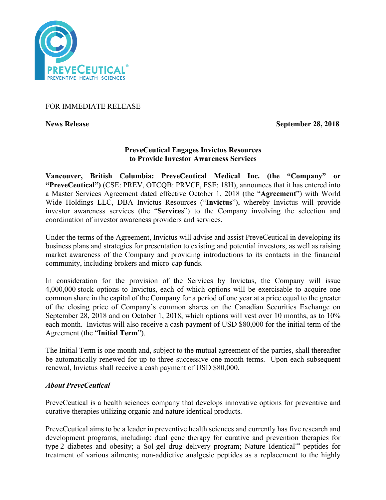

## FOR IMMEDIATE RELEASE

**News Release** September 28, 2018

# **PreveCeutical Engages Invictus Resources to Provide Investor Awareness Services**

**Vancouver, British Columbia: PreveCeutical Medical Inc. (the "Company" or "PreveCeutical")** (CSE: PREV, OTCQB: PRVCF, FSE: 18H), announces that it has entered into a Master Services Agreement dated effective October 1, 2018 (the "**Agreement**") with World Wide Holdings LLC, DBA Invictus Resources ("**Invictus**"), whereby Invictus will provide investor awareness services (the "**Services**") to the Company involving the selection and coordination of investor awareness providers and services.

Under the terms of the Agreement, Invictus will advise and assist PreveCeutical in developing its business plans and strategies for presentation to existing and potential investors, as well as raising market awareness of the Company and providing introductions to its contacts in the financial community, including brokers and micro-cap funds.

In consideration for the provision of the Services by Invictus, the Company will issue 4,000,000 stock options to Invictus, each of which options will be exercisable to acquire one common share in the capital of the Company for a period of one year at a price equal to the greater of the closing price of Company's common shares on the Canadian Securities Exchange on September 28, 2018 and on October 1, 2018, which options will vest over 10 months, as to 10% each month. Invictus will also receive a cash payment of USD \$80,000 for the initial term of the Agreement (the "**Initial Term**").

The Initial Term is one month and, subject to the mutual agreement of the parties, shall thereafter be automatically renewed for up to three successive one-month terms. Upon each subsequent renewal, Invictus shall receive a cash payment of USD \$80,000.

## *About PreveCeutical*

PreveCeutical is a health sciences company that develops innovative options for preventive and curative therapies utilizing organic and nature identical products.

PreveCeutical aims to be a leader in preventive health sciences and currently has five research and development programs, including: dual gene therapy for curative and prevention therapies for type 2 diabetes and obesity; a Sol-gel drug delivery program; Nature Identical™ peptides for treatment of various ailments; non-addictive analgesic peptides as a replacement to the highly